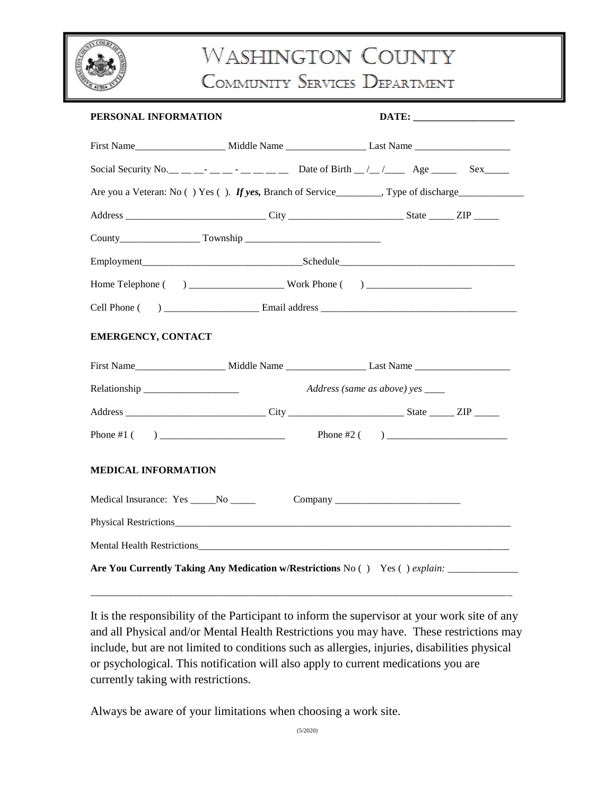

# **WASHINGTON COUNTY**

COMMUNITY SERVICES DEPARTMENT

| PERSONAL INFORMATION                                                                                |  |                                  |  |  |
|-----------------------------------------------------------------------------------------------------|--|----------------------------------|--|--|
|                                                                                                     |  |                                  |  |  |
| Social Security No. __ __ __ __ _ __ _ __ __ Date of Birth __/__/______ Age ________ Sex______      |  |                                  |  |  |
| Are you a Veteran: No () Yes (). If yes, Branch of Service_______, Type of discharge_______________ |  |                                  |  |  |
|                                                                                                     |  |                                  |  |  |
|                                                                                                     |  |                                  |  |  |
|                                                                                                     |  |                                  |  |  |
|                                                                                                     |  |                                  |  |  |
|                                                                                                     |  |                                  |  |  |
| <b>EMERGENCY, CONTACT</b>                                                                           |  |                                  |  |  |
|                                                                                                     |  |                                  |  |  |
|                                                                                                     |  | Address (same as above) yes ____ |  |  |
|                                                                                                     |  |                                  |  |  |
|                                                                                                     |  |                                  |  |  |
| <b>MEDICAL INFORMATION</b>                                                                          |  |                                  |  |  |
|                                                                                                     |  |                                  |  |  |
|                                                                                                     |  |                                  |  |  |
|                                                                                                     |  |                                  |  |  |
| Are You Currently Taking Any Medication w/Restrictions No () Yes () explain: _______________        |  |                                  |  |  |

It is the responsibility of the Participant to inform the supervisor at your work site of any and all Physical and/or Mental Health Restrictions you may have. These restrictions may include, but are not limited to conditions such as allergies, injuries, disabilities physical or psychological. This notification will also apply to current medications you are currently taking with restrictions.

\_\_\_\_\_\_\_\_\_\_\_\_\_\_\_\_\_\_\_\_\_\_\_\_\_\_\_\_\_\_\_\_\_\_\_\_\_\_\_\_\_\_\_\_\_\_\_\_\_\_\_\_\_\_\_\_\_\_\_\_\_\_\_\_\_\_\_\_\_\_\_\_\_\_\_\_\_\_\_\_\_\_\_\_

Always be aware of your limitations when choosing a work site.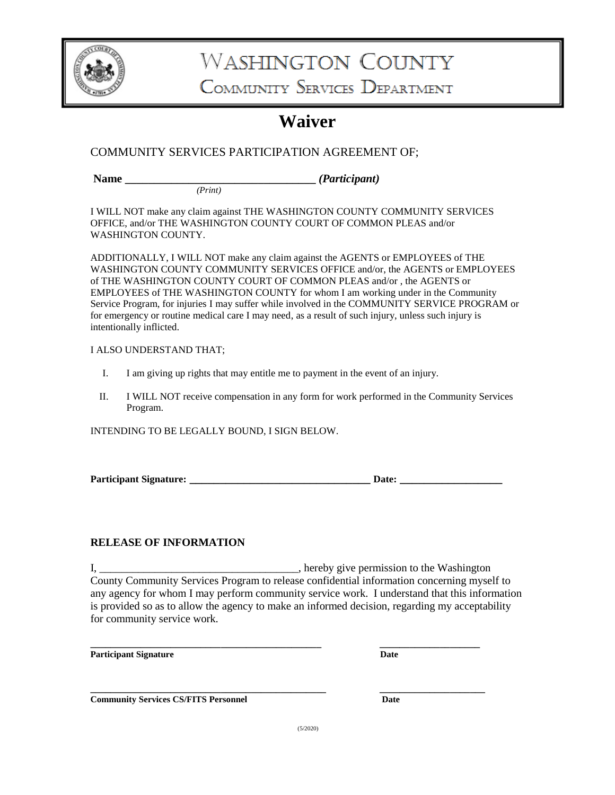

## **WASHINGTON COUNTY**

COMMUNITY SERVICES DEPARTMENT

### **Waiver**

#### COMMUNITY SERVICES PARTICIPATION AGREEMENT OF;

 *(Print)*

Name *<i>Participant <i>(Participant) (Participant)* 

I WILL NOT make any claim against THE WASHINGTON COUNTY COMMUNITY SERVICES OFFICE, and/or THE WASHINGTON COUNTY COURT OF COMMON PLEAS and/or WASHINGTON COUNTY.

ADDITIONALLY, I WILL NOT make any claim against the AGENTS or EMPLOYEES of THE WASHINGTON COUNTY COMMUNITY SERVICES OFFICE and/or, the AGENTS or EMPLOYEES of THE WASHINGTON COUNTY COURT OF COMMON PLEAS and/or , the AGENTS or EMPLOYEES of THE WASHINGTON COUNTY for whom I am working under in the Community Service Program, for injuries I may suffer while involved in the COMMUNITY SERVICE PROGRAM or for emergency or routine medical care I may need, as a result of such injury, unless such injury is intentionally inflicted.

#### I ALSO UNDERSTAND THAT;

- I. I am giving up rights that may entitle me to payment in the event of an injury.
- II. I WILL NOT receive compensation in any form for work performed in the Community Services Program.

INTENDING TO BE LEGALLY BOUND, I SIGN BELOW.

| <b>Participant Signature:</b> | Date. |
|-------------------------------|-------|
|                               |       |

#### **RELEASE OF INFORMATION**

I, \_\_\_\_\_\_\_\_\_\_\_\_\_\_\_\_\_\_\_\_\_\_\_\_\_\_\_\_\_\_\_\_\_, hereby give permission to the Washington County Community Services Program to release confidential information concerning myself to any agency for whom I may perform community service work. I understand that this information is provided so as to allow the agency to make an informed decision, regarding my acceptability for community service work.

**\_\_\_\_\_\_\_\_\_\_\_\_\_\_\_\_\_\_\_\_\_\_\_\_\_\_\_\_\_\_\_\_\_\_\_\_\_\_\_\_\_\_\_\_\_\_ \_\_\_\_\_\_\_\_\_\_\_\_\_\_\_\_\_\_\_\_**

| <b>Participant Signature</b> | Date |
|------------------------------|------|
|------------------------------|------|

| ۰. | .<br>$\sim$<br>× |
|----|------------------|
|    |                  |

**\_\_\_\_\_\_\_\_\_\_\_\_\_\_\_\_\_\_\_\_\_\_\_\_\_\_\_\_\_\_\_\_\_\_\_\_\_\_\_\_\_\_\_\_\_\_\_ \_\_\_\_\_\_\_\_\_\_\_\_\_\_\_\_\_\_\_\_\_ Community Services CS/FITS Personnel Date**

(5/2020)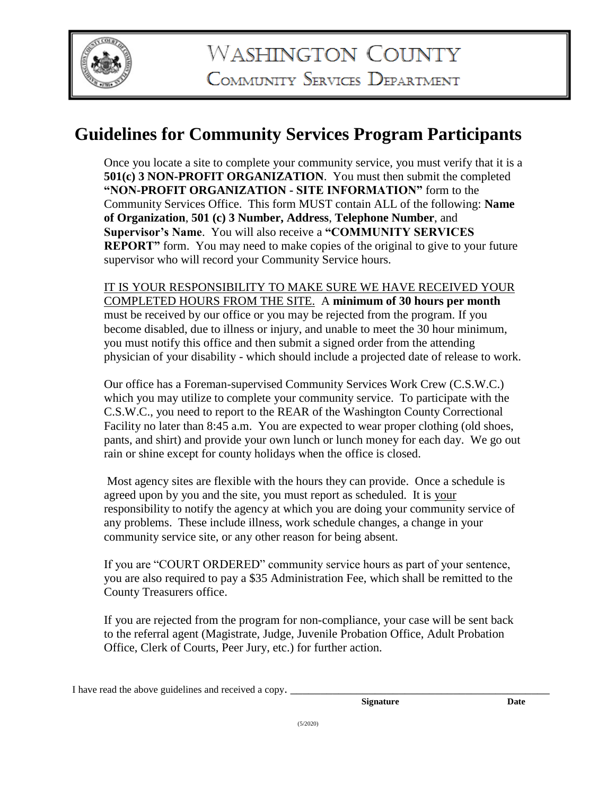

### **Guidelines for Community Services Program Participants**

Once you locate a site to complete your community service, you must verify that it is a **501(c) 3 NON-PROFIT ORGANIZATION**. You must then submit the completed **"NON-PROFIT ORGANIZATION - SITE INFORMATION"** form to the Community Services Office. This form MUST contain ALL of the following: **Name of Organization**, **501 (c) 3 Number, Address**, **Telephone Number**, and **Supervisor's Name**. You will also receive a **"COMMUNITY SERVICES REPORT"** form. You may need to make copies of the original to give to your future supervisor who will record your Community Service hours.

IT IS YOUR RESPONSIBILITY TO MAKE SURE WE HAVE RECEIVED YOUR COMPLETED HOURS FROM THE SITE. A **minimum of 30 hours per month**  must be received by our office or you may be rejected from the program. If you become disabled, due to illness or injury, and unable to meet the 30 hour minimum, you must notify this office and then submit a signed order from the attending physician of your disability - which should include a projected date of release to work.

Our office has a Foreman-supervised Community Services Work Crew (C.S.W.C.) which you may utilize to complete your community service. To participate with the C.S.W.C., you need to report to the REAR of the Washington County Correctional Facility no later than 8:45 a.m. You are expected to wear proper clothing (old shoes, pants, and shirt) and provide your own lunch or lunch money for each day. We go out rain or shine except for county holidays when the office is closed.

Most agency sites are flexible with the hours they can provide. Once a schedule is agreed upon by you and the site, you must report as scheduled. It is your responsibility to notify the agency at which you are doing your community service of any problems. These include illness, work schedule changes, a change in your community service site, or any other reason for being absent.

If you are "COURT ORDERED" community service hours as part of your sentence, you are also required to pay a \$35 Administration Fee, which shall be remitted to the County Treasurers office.

If you are rejected from the program for non-compliance, your case will be sent back to the referral agent (Magistrate, Judge, Juvenile Probation Office, Adult Probation Office, Clerk of Courts, Peer Jury, etc.) for further action.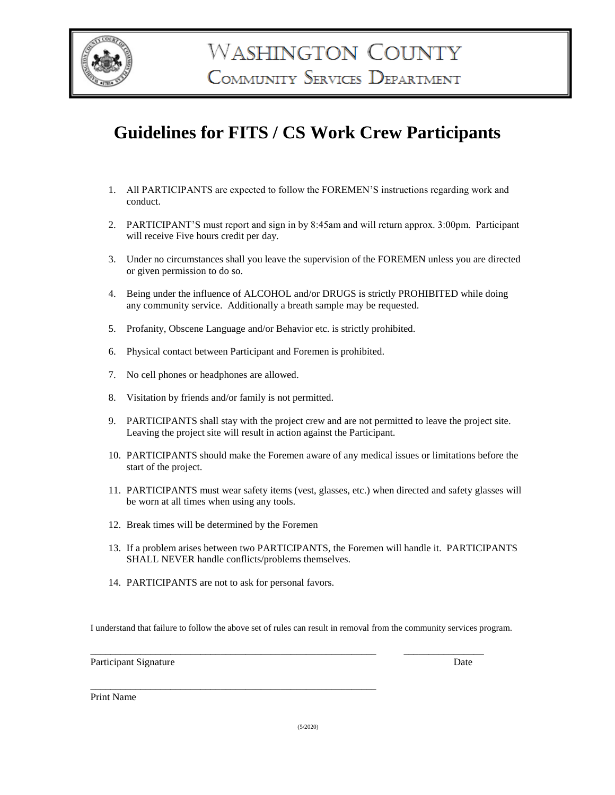

### **Guidelines for FITS / CS Work Crew Participants**

- 1. All PARTICIPANTS are expected to follow the FOREMEN'S instructions regarding work and conduct.
- 2. PARTICIPANT'S must report and sign in by 8:45am and will return approx. 3:00pm. Participant will receive Five hours credit per day.
- 3. Under no circumstances shall you leave the supervision of the FOREMEN unless you are directed or given permission to do so.
- 4. Being under the influence of ALCOHOL and/or DRUGS is strictly PROHIBITED while doing any community service. Additionally a breath sample may be requested.
- 5. Profanity, Obscene Language and/or Behavior etc. is strictly prohibited.
- 6. Physical contact between Participant and Foremen is prohibited.
- 7. No cell phones or headphones are allowed.
- 8. Visitation by friends and/or family is not permitted.
- 9. PARTICIPANTS shall stay with the project crew and are not permitted to leave the project site. Leaving the project site will result in action against the Participant.
- 10. PARTICIPANTS should make the Foremen aware of any medical issues or limitations before the start of the project.
- 11. PARTICIPANTS must wear safety items (vest, glasses, etc.) when directed and safety glasses will be worn at all times when using any tools.
- 12. Break times will be determined by the Foremen
- 13. If a problem arises between two PARTICIPANTS, the Foremen will handle it. PARTICIPANTS SHALL NEVER handle conflicts/problems themselves.
- 14. PARTICIPANTS are not to ask for personal favors.

\_\_\_\_\_\_\_\_\_\_\_\_\_\_\_\_\_\_\_\_\_\_\_\_\_\_\_\_\_\_\_\_\_\_\_\_\_\_\_\_\_\_\_\_\_\_\_\_\_\_\_\_\_\_\_\_\_

I understand that failure to follow the above set of rules can result in removal from the community services program.

\_\_\_\_\_\_\_\_\_\_\_\_\_\_\_\_\_\_\_\_\_\_\_\_\_\_\_\_\_\_\_\_\_\_\_\_\_\_\_\_\_\_\_\_\_\_\_\_\_\_\_\_\_\_\_\_\_ \_\_\_\_\_\_\_\_\_\_\_\_\_\_\_\_

Participant Signature Date Date of the Date of the Date of the Date of the Date of the Date of the Date of the Date of the Date of the Date of the Date of the Date of the Date of the Date of the Date of the Date of the Dat

Print Name